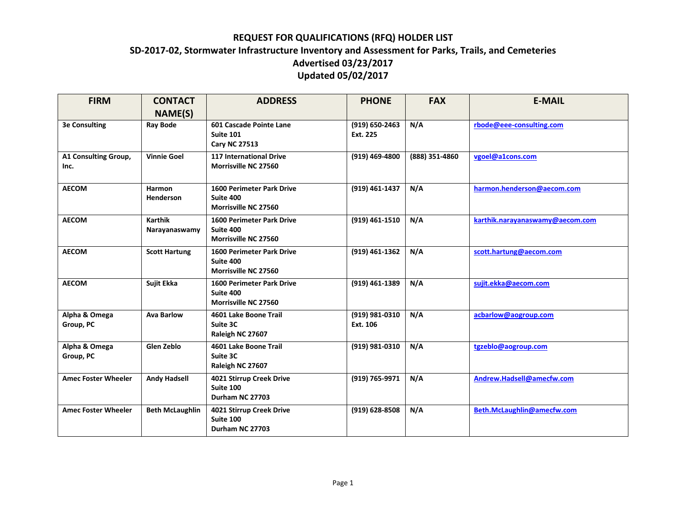| <b>FIRM</b>                  | <b>CONTACT</b>                  | <b>ADDRESS</b>                                                        | <b>PHONE</b>                   | <b>FAX</b>     | <b>E-MAIL</b>                   |
|------------------------------|---------------------------------|-----------------------------------------------------------------------|--------------------------------|----------------|---------------------------------|
|                              | NAME(S)                         |                                                                       |                                |                |                                 |
| <b>3e Consulting</b>         | <b>Ray Bode</b>                 | 601 Cascade Pointe Lane<br><b>Suite 101</b><br><b>Cary NC 27513</b>   | $(919) 650 - 2463$<br>Ext. 225 | N/A            | rbode@eee-consulting.com        |
| A1 Consulting Group,<br>Inc. | <b>Vinnie Goel</b>              | <b>117 International Drive</b><br>Morrisville NC 27560                | (919) 469-4800                 | (888) 351-4860 | vgoel@a1cons.com                |
| <b>AECOM</b>                 | Harmon<br><b>Henderson</b>      | <b>1600 Perimeter Park Drive</b><br>Suite 400<br>Morrisville NC 27560 | (919) 461-1437                 | N/A            | harmon.henderson@aecom.com      |
| <b>AECOM</b>                 | <b>Karthik</b><br>Narayanaswamy | <b>1600 Perimeter Park Drive</b><br>Suite 400<br>Morrisville NC 27560 | (919) 461-1510                 | N/A            | karthik.narayanaswamy@aecom.com |
| <b>AECOM</b>                 | <b>Scott Hartung</b>            | <b>1600 Perimeter Park Drive</b><br>Suite 400<br>Morrisville NC 27560 | (919) 461-1362                 | N/A            | scott.hartung@aecom.com         |
| <b>AECOM</b>                 | Sujit Ekka                      | <b>1600 Perimeter Park Drive</b><br>Suite 400<br>Morrisville NC 27560 | (919) 461-1389                 | N/A            | sujit.ekka@aecom.com            |
| Alpha & Omega<br>Group, PC   | <b>Ava Barlow</b>               | 4601 Lake Boone Trail<br>Suite 3C<br>Raleigh NC 27607                 | (919) 981-0310<br>Ext. 106     | N/A            | acbarlow@aogroup.com            |
| Alpha & Omega<br>Group, PC   | Glen Zeblo                      | 4601 Lake Boone Trail<br>Suite 3C<br>Raleigh NC 27607                 | (919) 981-0310                 | N/A            | tgzeblo@aogroup.com             |
| <b>Amec Foster Wheeler</b>   | <b>Andy Hadsell</b>             | 4021 Stirrup Creek Drive<br>Suite 100<br>Durham NC 27703              | (919) 765-9971                 | N/A            | Andrew.Hadsell@amecfw.com       |
| <b>Amec Foster Wheeler</b>   | <b>Beth McLaughlin</b>          | 4021 Stirrup Creek Drive<br>Suite 100<br>Durham NC 27703              | $(919) 628 - 8508$             | N/A            | Beth.McLaughlin@amecfw.com      |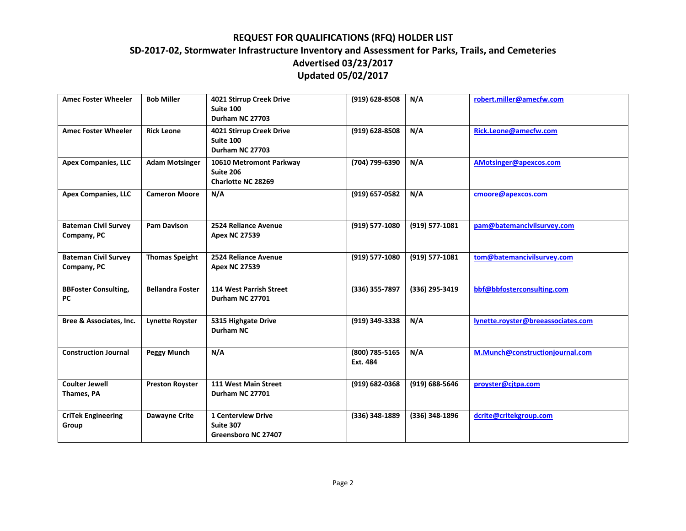| <b>Amec Foster Wheeler</b>                 | <b>Bob Miller</b>       | 4021 Stirrup Creek Drive<br>Suite 100<br>Durham NC 27703      | $(919) 628 - 8508$         | N/A            | robert.miller@amecfw.com           |
|--------------------------------------------|-------------------------|---------------------------------------------------------------|----------------------------|----------------|------------------------------------|
| <b>Amec Foster Wheeler</b>                 | <b>Rick Leone</b>       | 4021 Stirrup Creek Drive<br>Suite 100<br>Durham NC 27703      | (919) 628-8508             | N/A            | Rick.Leone@amecfw.com              |
| <b>Apex Companies, LLC</b>                 | <b>Adam Motsinger</b>   | 10610 Metromont Parkway<br>Suite 206<br>Charlotte NC 28269    | (704) 799-6390             | N/A            | AMotsinger@apexcos.com             |
| <b>Apex Companies, LLC</b>                 | <b>Cameron Moore</b>    | N/A                                                           | (919) 657-0582             | N/A            | cmoore@apexcos.com                 |
| <b>Bateman Civil Survey</b><br>Company, PC | <b>Pam Davison</b>      | 2524 Reliance Avenue<br><b>Apex NC 27539</b>                  | (919) 577-1080             | (919) 577-1081 | pam@batemancivilsurvey.com         |
| <b>Bateman Civil Survey</b><br>Company, PC | <b>Thomas Speight</b>   | 2524 Reliance Avenue<br><b>Apex NC 27539</b>                  | (919) 577-1080             | (919) 577-1081 | tom@batemancivilsurvey.com         |
| <b>BBFoster Consulting,</b><br>PC          | <b>Bellandra Foster</b> | 114 West Parrish Street<br>Durham NC 27701                    | (336) 355-7897             | (336) 295-3419 | bbf@bbfosterconsulting.com         |
| Bree & Associates, Inc.                    | <b>Lynette Royster</b>  | 5315 Highgate Drive<br>Durham NC                              | (919) 349-3338             | N/A            | lynette.royster@breeassociates.com |
| <b>Construction Journal</b>                | <b>Peggy Munch</b>      | N/A                                                           | (800) 785-5165<br>Ext. 484 | N/A            | M.Munch@constructionjournal.com    |
| <b>Coulter Jewell</b><br>Thames, PA        | <b>Preston Royster</b>  | 111 West Main Street<br>Durham NC 27701                       | $(919) 682 - 0368$         | (919) 688-5646 | proyster@citpa.com                 |
| <b>CriTek Engineering</b><br>Group         | <b>Dawayne Crite</b>    | <b>1 Centerview Drive</b><br>Suite 307<br>Greensboro NC 27407 | (336) 348-1889             | (336) 348-1896 | dcrite@critekgroup.com             |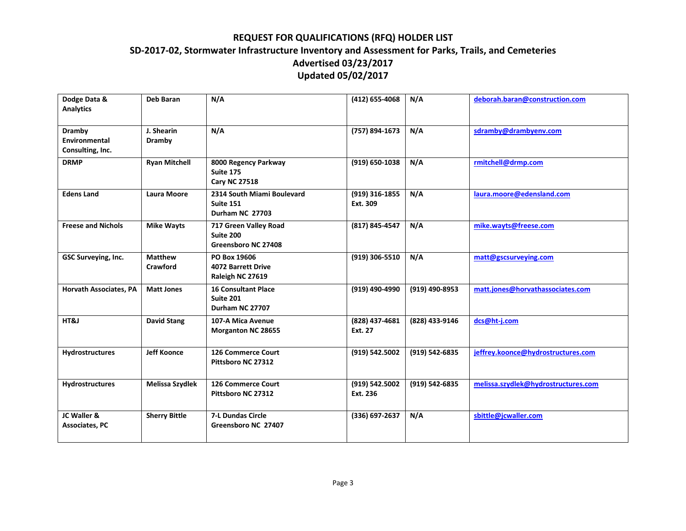| Dodge Data &<br><b>Analytics</b>                          | <b>Deb Baran</b>           | N/A                                                               | (412) 655-4068             | N/A            | deborah.baran@construction.com      |
|-----------------------------------------------------------|----------------------------|-------------------------------------------------------------------|----------------------------|----------------|-------------------------------------|
| <b>Dramby</b><br><b>Environmental</b><br>Consulting, Inc. | J. Shearin<br>Dramby       | N/A                                                               | (757) 894-1673             | N/A            | sdramby@drambyenv.com               |
| <b>DRMP</b>                                               | <b>Ryan Mitchell</b>       | 8000 Regency Parkway<br>Suite 175<br><b>Cary NC 27518</b>         | $(919) 650 - 1038$         | N/A            | rmitchell@drmp.com                  |
| <b>Edens Land</b>                                         | <b>Laura Moore</b>         | 2314 South Miami Boulevard<br><b>Suite 151</b><br>Durham NC 27703 | (919) 316-1855<br>Ext. 309 | N/A            | laura.moore@edensland.com           |
| <b>Freese and Nichols</b>                                 | <b>Mike Wayts</b>          | 717 Green Valley Road<br>Suite 200<br>Greensboro NC 27408         | (817) 845-4547             | N/A            | mike.wayts@freese.com               |
| GSC Surveying, Inc.                                       | <b>Matthew</b><br>Crawford | PO Box 19606<br><b>4072 Barrett Drive</b><br>Raleigh NC 27619     | (919) 306-5510             | N/A            | matt@gscsurveying.com               |
| <b>Horvath Associates, PA</b>                             | <b>Matt Jones</b>          | <b>16 Consultant Place</b><br><b>Suite 201</b><br>Durham NC 27707 | (919) 490-4990             | (919) 490-8953 | matt.jones@horvathassociates.com    |
| HT&J                                                      | <b>David Stang</b>         | 107-A Mica Avenue<br><b>Morganton NC 28655</b>                    | (828) 437-4681<br>Ext. 27  | (828) 433-9146 | dcs@ht-j.com                        |
| Hydrostructures                                           | <b>Jeff Koonce</b>         | 126 Commerce Court<br>Pittsboro NC 27312                          | (919) 542.5002             | (919) 542-6835 | jeffrey.koonce@hydrostructures.com  |
| Hydrostructures                                           | Melissa Szydlek            | 126 Commerce Court<br>Pittsboro NC 27312                          | (919) 542.5002<br>Ext. 236 | (919) 542-6835 | melissa.szydlek@hydrostructures.com |
| JC Waller &<br><b>Associates, PC</b>                      | <b>Sherry Bittle</b>       | <b>7-L Dundas Circle</b><br>Greensboro NC 27407                   | (336) 697-2637             | N/A            | sbittle@jcwaller.com                |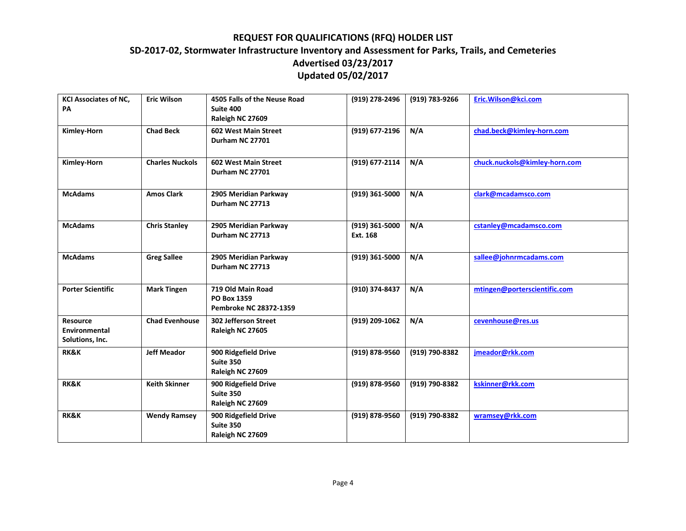| <b>KCI Associates of NC,</b><br>PA                  | <b>Eric Wilson</b>     | 4505 Falls of the Neuse Road<br>Suite 400<br>Raleigh NC 27609 | (919) 278-2496             | (919) 783-9266 | Eric.Wilson@kci.com           |
|-----------------------------------------------------|------------------------|---------------------------------------------------------------|----------------------------|----------------|-------------------------------|
| Kimley-Horn                                         | <b>Chad Beck</b>       | 602 West Main Street<br>Durham NC 27701                       | (919) 677-2196             | N/A            | chad.beck@kimley-horn.com     |
| Kimley-Horn                                         | <b>Charles Nuckols</b> | 602 West Main Street<br>Durham NC 27701                       | (919) 677-2114             | N/A            | chuck.nuckols@kimley-horn.com |
| <b>McAdams</b>                                      | <b>Amos Clark</b>      | 2905 Meridian Parkway<br>Durham NC 27713                      | (919) 361-5000             | N/A            | clark@mcadamsco.com           |
| <b>McAdams</b>                                      | <b>Chris Stanley</b>   | 2905 Meridian Parkway<br>Durham NC 27713                      | (919) 361-5000<br>Ext. 168 | N/A            | cstanley@mcadamsco.com        |
| <b>McAdams</b>                                      | <b>Greg Sallee</b>     | 2905 Meridian Parkway<br>Durham NC 27713                      | $(919)$ 361-5000           | N/A            | sallee@johnrmcadams.com       |
| <b>Porter Scientific</b>                            | <b>Mark Tingen</b>     | 719 Old Main Road<br>PO Box 1359<br>Pembroke NC 28372-1359    | (910) 374-8437             | N/A            | mtingen@porterscientific.com  |
| <b>Resource</b><br>Environmental<br>Solutions, Inc. | <b>Chad Evenhouse</b>  | 302 Jefferson Street<br>Raleigh NC 27605                      | (919) 209-1062             | N/A            | cevenhouse@res.us             |
| <b>RK&amp;K</b>                                     | <b>Jeff Meador</b>     | 900 Ridgefield Drive<br>Suite 350<br>Raleigh NC 27609         | (919) 878-9560             | (919) 790-8382 | jmeador@rkk.com               |
| <b>RK&amp;K</b>                                     | <b>Keith Skinner</b>   | 900 Ridgefield Drive<br>Suite 350<br>Raleigh NC 27609         | (919) 878-9560             | (919) 790-8382 | kskinner@rkk.com              |
| <b>RK&amp;K</b>                                     | <b>Wendy Ramsey</b>    | 900 Ridgefield Drive<br>Suite 350<br>Raleigh NC 27609         | (919) 878-9560             | (919) 790-8382 | wramsey@rkk.com               |